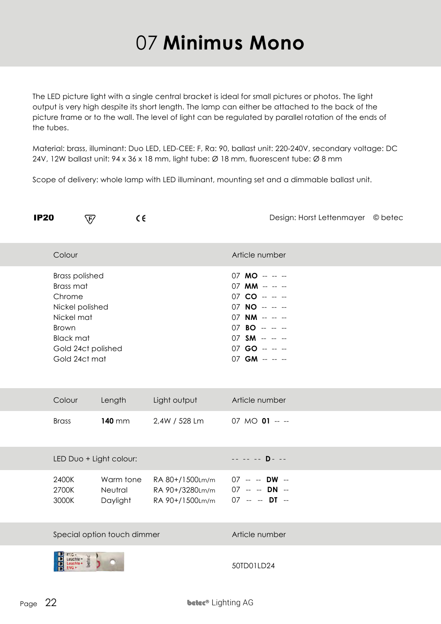## 07 **Minimus Mono**

The LED picture light with a single central bracket is ideal for small pictures or photos. The light output is very high despite its short length. The lamp can either be attached to the back of the picture frame or to the wall. The level of light can be regulated by parallel rotation of the ends of the tubes.

Material: brass, illuminant: Duo LED, LED-CEE: F, Ra: 90, ballast unit: 220-240V, secondary voltage: DC 24V, 12W ballast unit: 94 x 36 x 18 mm, light tube: Ø 18 mm, fluorescent tube: Ø 8 mm

Scope of delivery: whole lamp with LED illuminant, mounting set and a dimmable ballast unit.